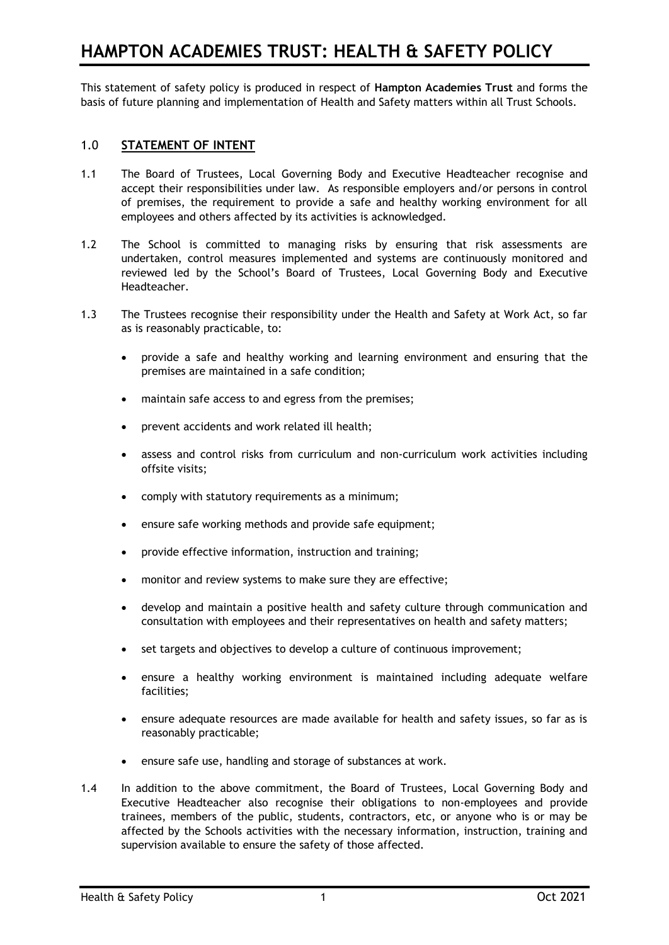This statement of safety policy is produced in respect of **Hampton Academies Trust** and forms the basis of future planning and implementation of Health and Safety matters within all Trust Schools.

# 1.0 **STATEMENT OF INTENT**

- 1.1 The Board of Trustees, Local Governing Body and Executive Headteacher recognise and accept their responsibilities under law. As responsible employers and/or persons in control of premises, the requirement to provide a safe and healthy working environment for all employees and others affected by its activities is acknowledged.
- 1.2 The School is committed to managing risks by ensuring that risk assessments are undertaken, control measures implemented and systems are continuously monitored and reviewed led by the School's Board of Trustees, Local Governing Body and Executive Headteacher.
- 1.3 The Trustees recognise their responsibility under the Health and Safety at Work Act, so far as is reasonably practicable, to:
	- provide a safe and healthy working and learning environment and ensuring that the premises are maintained in a safe condition;
	- maintain safe access to and egress from the premises;
	- prevent accidents and work related ill health;
	- assess and control risks from curriculum and non-curriculum work activities including offsite visits;
	- comply with statutory requirements as a minimum;
	- ensure safe working methods and provide safe equipment;
	- provide effective information, instruction and training;
	- monitor and review systems to make sure they are effective;
	- develop and maintain a positive health and safety culture through communication and consultation with employees and their representatives on health and safety matters;
	- set targets and objectives to develop a culture of continuous improvement;
	- ensure a healthy working environment is maintained including adequate welfare facilities;
	- ensure adequate resources are made available for health and safety issues, so far as is reasonably practicable;
	- ensure safe use, handling and storage of substances at work.
- 1.4 In addition to the above commitment, the Board of Trustees, Local Governing Body and Executive Headteacher also recognise their obligations to non-employees and provide trainees, members of the public, students, contractors, etc, or anyone who is or may be affected by the Schools activities with the necessary information, instruction, training and supervision available to ensure the safety of those affected.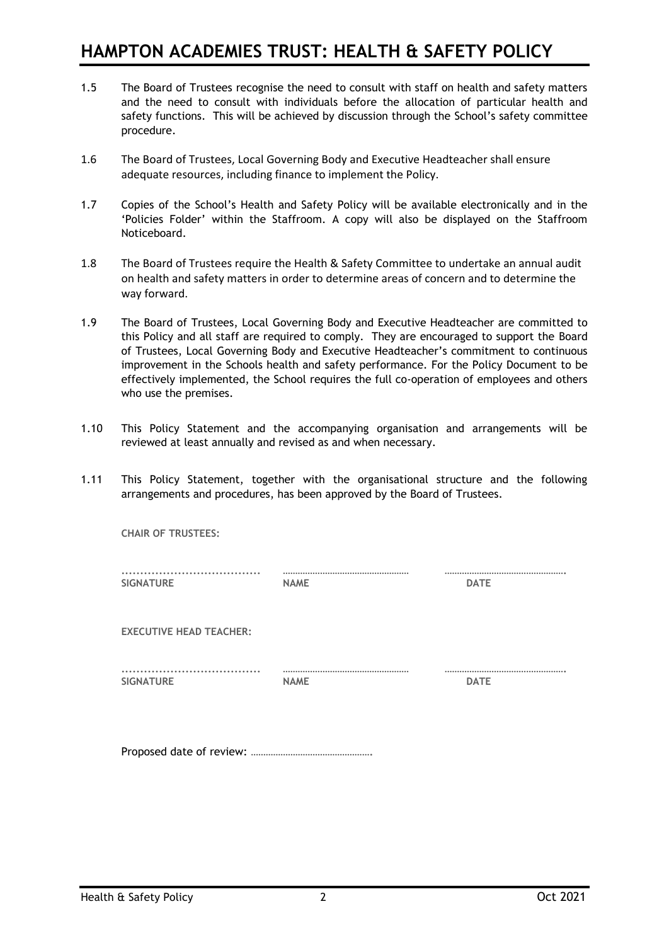- 1.5 The Board of Trustees recognise the need to consult with staff on health and safety matters and the need to consult with individuals before the allocation of particular health and safety functions. This will be achieved by discussion through the School's safety committee procedure.
- 1.6 The Board of Trustees, Local Governing Body and Executive Headteacher shall ensure adequate resources, including finance to implement the Policy.
- 1.7 Copies of the School's Health and Safety Policy will be available electronically and in the 'Policies Folder' within the Staffroom. A copy will also be displayed on the Staffroom Noticeboard.
- 1.8 The Board of Trustees require the Health & Safety Committee to undertake an annual audit on health and safety matters in order to determine areas of concern and to determine the way forward.
- 1.9 The Board of Trustees, Local Governing Body and Executive Headteacher are committed to this Policy and all staff are required to comply. They are encouraged to support the Board of Trustees, Local Governing Body and Executive Headteacher's commitment to continuous improvement in the Schools health and safety performance. For the Policy Document to be effectively implemented, the School requires the full co-operation of employees and others who use the premises.
- 1.10 This Policy Statement and the accompanying organisation and arrangements will be reviewed at least annually and revised as and when necessary.
- 1.11 This Policy Statement, together with the organisational structure and the following arrangements and procedures, has been approved by the Board of Trustees.

| <b>CHAIR OF TRUSTEES:</b>      |             |             |
|--------------------------------|-------------|-------------|
| <br><b>SIGNATURE</b>           | <b>NAME</b> | <b>DATE</b> |
| <b>EXECUTIVE HEAD TEACHER:</b> |             |             |
| <b>SIGNATURE</b>               | <b>NAME</b> | <b>DATE</b> |
|                                |             |             |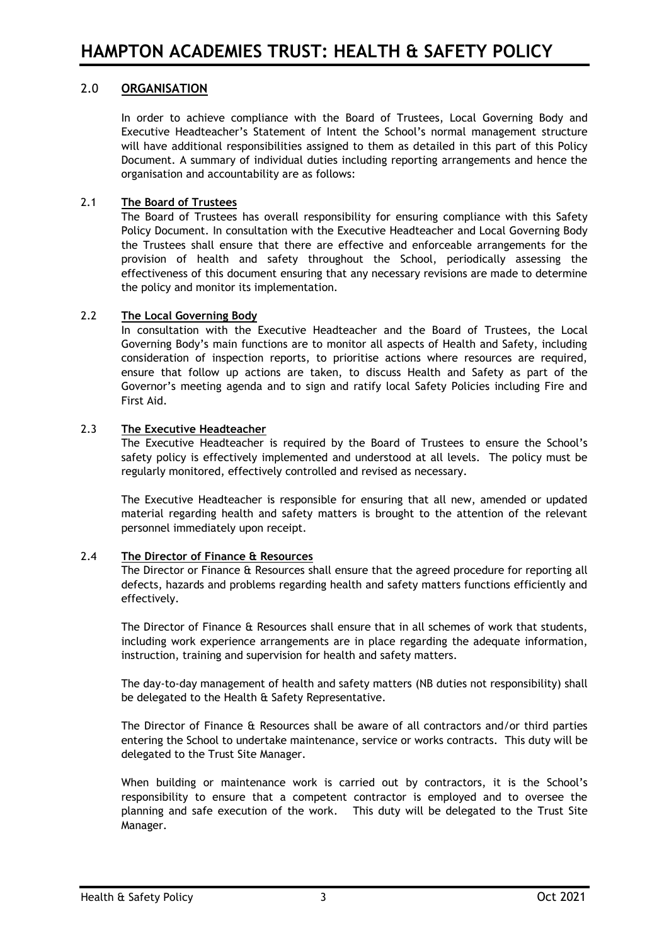# 2.0 **ORGANISATION**

In order to achieve compliance with the Board of Trustees, Local Governing Body and Executive Headteacher's Statement of Intent the School's normal management structure will have additional responsibilities assigned to them as detailed in this part of this Policy Document. A summary of individual duties including reporting arrangements and hence the organisation and accountability are as follows:

# 2.1 **The Board of Trustees**

The Board of Trustees has overall responsibility for ensuring compliance with this Safety Policy Document. In consultation with the Executive Headteacher and Local Governing Body the Trustees shall ensure that there are effective and enforceable arrangements for the provision of health and safety throughout the School, periodically assessing the effectiveness of this document ensuring that any necessary revisions are made to determine the policy and monitor its implementation.

# 2.2 **The Local Governing Body**

In consultation with the Executive Headteacher and the Board of Trustees, the Local Governing Body's main functions are to monitor all aspects of Health and Safety, including consideration of inspection reports, to prioritise actions where resources are required, ensure that follow up actions are taken, to discuss Health and Safety as part of the Governor's meeting agenda and to sign and ratify local Safety Policies including Fire and First Aid.

# 2.3 **The Executive Headteacher**

The Executive Headteacher is required by the Board of Trustees to ensure the School's safety policy is effectively implemented and understood at all levels. The policy must be regularly monitored, effectively controlled and revised as necessary.

The Executive Headteacher is responsible for ensuring that all new, amended or updated material regarding health and safety matters is brought to the attention of the relevant personnel immediately upon receipt.

# 2.4 **The Director of Finance & Resources**

The Director or Finance & Resources shall ensure that the agreed procedure for reporting all defects, hazards and problems regarding health and safety matters functions efficiently and effectively.

The Director of Finance & Resources shall ensure that in all schemes of work that students, including work experience arrangements are in place regarding the adequate information, instruction, training and supervision for health and safety matters.

The day-to-day management of health and safety matters (NB duties not responsibility) shall be delegated to the Health & Safety Representative.

The Director of Finance & Resources shall be aware of all contractors and/or third parties entering the School to undertake maintenance, service or works contracts. This duty will be delegated to the Trust Site Manager.

When building or maintenance work is carried out by contractors, it is the School's responsibility to ensure that a competent contractor is employed and to oversee the planning and safe execution of the work. This duty will be delegated to the Trust Site Manager.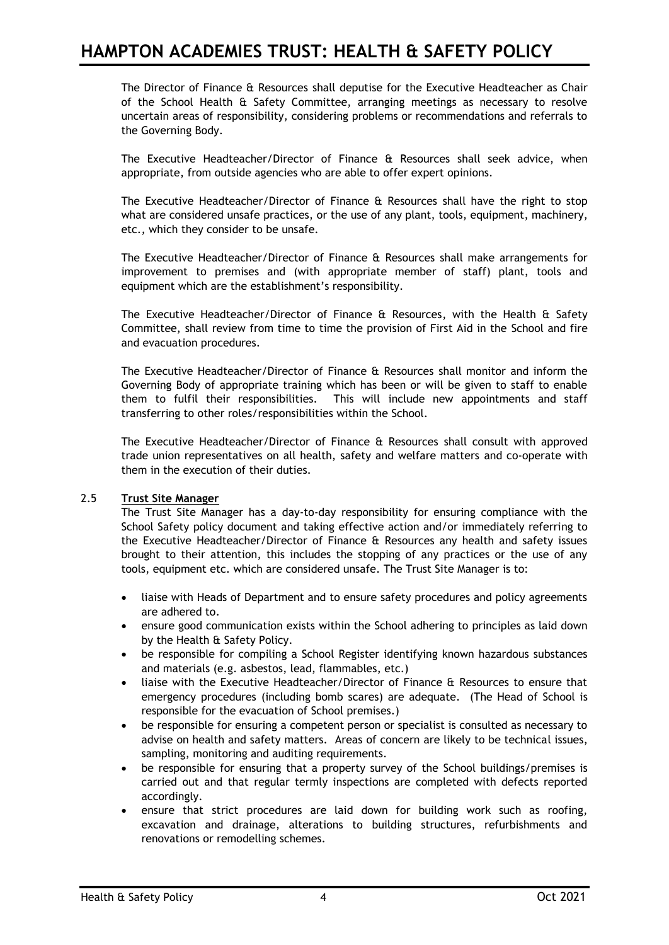The Director of Finance & Resources shall deputise for the Executive Headteacher as Chair of the School Health & Safety Committee, arranging meetings as necessary to resolve uncertain areas of responsibility, considering problems or recommendations and referrals to the Governing Body.

The Executive Headteacher/Director of Finance & Resources shall seek advice, when appropriate, from outside agencies who are able to offer expert opinions.

The Executive Headteacher/Director of Finance & Resources shall have the right to stop what are considered unsafe practices, or the use of any plant, tools, equipment, machinery, etc., which they consider to be unsafe.

The Executive Headteacher/Director of Finance & Resources shall make arrangements for improvement to premises and (with appropriate member of staff) plant, tools and equipment which are the establishment's responsibility.

The Executive Headteacher/Director of Finance & Resources, with the Health & Safety Committee, shall review from time to time the provision of First Aid in the School and fire and evacuation procedures.

The Executive Headteacher/Director of Finance & Resources shall monitor and inform the Governing Body of appropriate training which has been or will be given to staff to enable them to fulfil their responsibilities. This will include new appointments and staff transferring to other roles/responsibilities within the School.

The Executive Headteacher/Director of Finance & Resources shall consult with approved trade union representatives on all health, safety and welfare matters and co-operate with them in the execution of their duties.

## 2.5 **Trust Site Manager**

The Trust Site Manager has a day-to-day responsibility for ensuring compliance with the School Safety policy document and taking effective action and/or immediately referring to the Executive Headteacher/Director of Finance & Resources any health and safety issues brought to their attention, this includes the stopping of any practices or the use of any tools, equipment etc. which are considered unsafe. The Trust Site Manager is to:

- liaise with Heads of Department and to ensure safety procedures and policy agreements are adhered to.
- ensure good communication exists within the School adhering to principles as laid down by the Health & Safety Policy.
- be responsible for compiling a School Register identifying known hazardous substances and materials (e.g. asbestos, lead, flammables, etc.)
- liaise with the Executive Headteacher/Director of Finance & Resources to ensure that emergency procedures (including bomb scares) are adequate. (The Head of School is responsible for the evacuation of School premises.)
- be responsible for ensuring a competent person or specialist is consulted as necessary to advise on health and safety matters. Areas of concern are likely to be technical issues, sampling, monitoring and auditing requirements.
- be responsible for ensuring that a property survey of the School buildings/premises is carried out and that regular termly inspections are completed with defects reported accordingly.
- ensure that strict procedures are laid down for building work such as roofing, excavation and drainage, alterations to building structures, refurbishments and renovations or remodelling schemes.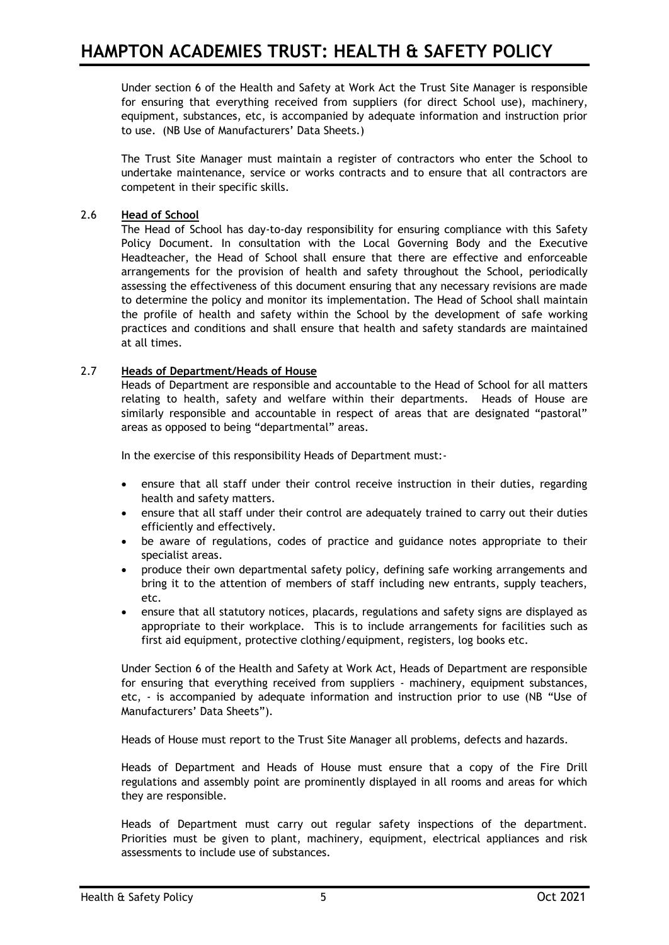Under section 6 of the Health and Safety at Work Act the Trust Site Manager is responsible for ensuring that everything received from suppliers (for direct School use), machinery, equipment, substances, etc, is accompanied by adequate information and instruction prior to use. (NB Use of Manufacturers' Data Sheets.)

The Trust Site Manager must maintain a register of contractors who enter the School to undertake maintenance, service or works contracts and to ensure that all contractors are competent in their specific skills.

# 2.6 **Head of School**

The Head of School has day-to-day responsibility for ensuring compliance with this Safety Policy Document. In consultation with the Local Governing Body and the Executive Headteacher, the Head of School shall ensure that there are effective and enforceable arrangements for the provision of health and safety throughout the School, periodically assessing the effectiveness of this document ensuring that any necessary revisions are made to determine the policy and monitor its implementation. The Head of School shall maintain the profile of health and safety within the School by the development of safe working practices and conditions and shall ensure that health and safety standards are maintained at all times.

# 2.7 **Heads of Department/Heads of House**

Heads of Department are responsible and accountable to the Head of School for all matters relating to health, safety and welfare within their departments. Heads of House are similarly responsible and accountable in respect of areas that are designated "pastoral" areas as opposed to being "departmental" areas.

In the exercise of this responsibility Heads of Department must:-

- ensure that all staff under their control receive instruction in their duties, regarding health and safety matters.
- ensure that all staff under their control are adequately trained to carry out their duties efficiently and effectively.
- be aware of regulations, codes of practice and guidance notes appropriate to their specialist areas.
- produce their own departmental safety policy, defining safe working arrangements and bring it to the attention of members of staff including new entrants, supply teachers, etc.
- ensure that all statutory notices, placards, regulations and safety signs are displayed as appropriate to their workplace. This is to include arrangements for facilities such as first aid equipment, protective clothing/equipment, registers, log books etc.

Under Section 6 of the Health and Safety at Work Act, Heads of Department are responsible for ensuring that everything received from suppliers - machinery, equipment substances, etc, - is accompanied by adequate information and instruction prior to use (NB "Use of Manufacturers' Data Sheets").

Heads of House must report to the Trust Site Manager all problems, defects and hazards.

Heads of Department and Heads of House must ensure that a copy of the Fire Drill regulations and assembly point are prominently displayed in all rooms and areas for which they are responsible.

Heads of Department must carry out regular safety inspections of the department. Priorities must be given to plant, machinery, equipment, electrical appliances and risk assessments to include use of substances.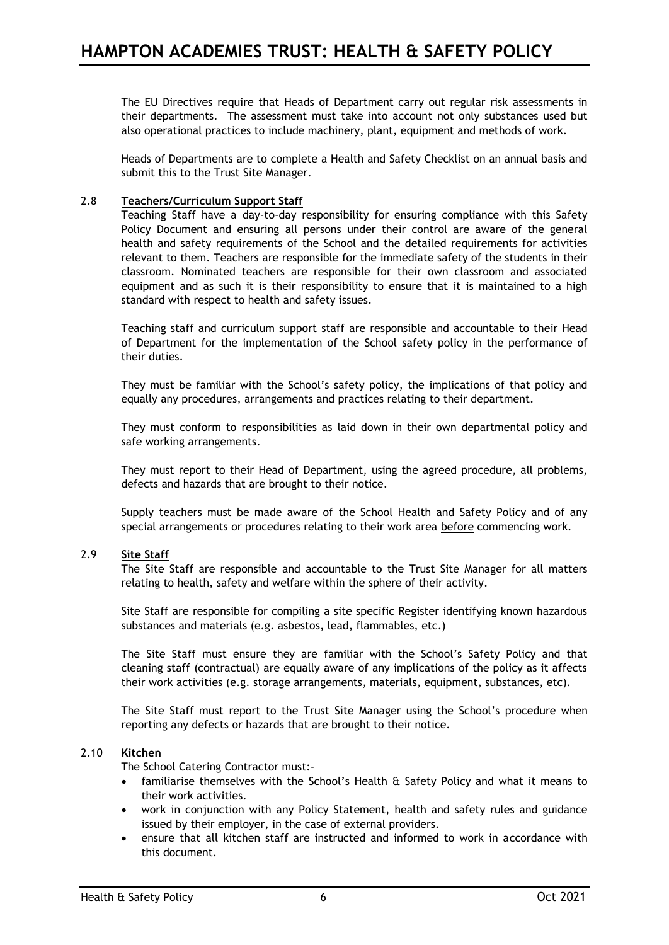The EU Directives require that Heads of Department carry out regular risk assessments in their departments. The assessment must take into account not only substances used but also operational practices to include machinery, plant, equipment and methods of work.

Heads of Departments are to complete a Health and Safety Checklist on an annual basis and submit this to the Trust Site Manager.

## 2.8 **Teachers/Curriculum Support Staff**

Teaching Staff have a day-to-day responsibility for ensuring compliance with this Safety Policy Document and ensuring all persons under their control are aware of the general health and safety requirements of the School and the detailed requirements for activities relevant to them. Teachers are responsible for the immediate safety of the students in their classroom. Nominated teachers are responsible for their own classroom and associated equipment and as such it is their responsibility to ensure that it is maintained to a high standard with respect to health and safety issues.

Teaching staff and curriculum support staff are responsible and accountable to their Head of Department for the implementation of the School safety policy in the performance of their duties.

They must be familiar with the School's safety policy, the implications of that policy and equally any procedures, arrangements and practices relating to their department.

They must conform to responsibilities as laid down in their own departmental policy and safe working arrangements.

They must report to their Head of Department, using the agreed procedure, all problems, defects and hazards that are brought to their notice.

Supply teachers must be made aware of the School Health and Safety Policy and of any special arrangements or procedures relating to their work area before commencing work.

## 2.9 **Site Staff**

The Site Staff are responsible and accountable to the Trust Site Manager for all matters relating to health, safety and welfare within the sphere of their activity.

Site Staff are responsible for compiling a site specific Register identifying known hazardous substances and materials (e.g. asbestos, lead, flammables, etc.)

The Site Staff must ensure they are familiar with the School's Safety Policy and that cleaning staff (contractual) are equally aware of any implications of the policy as it affects their work activities (e.g. storage arrangements, materials, equipment, substances, etc).

The Site Staff must report to the Trust Site Manager using the School's procedure when reporting any defects or hazards that are brought to their notice.

### 2.10 **Kitchen**

The School Catering Contractor must:-

- familiarise themselves with the School's Health & Safety Policy and what it means to their work activities.
- work in conjunction with any Policy Statement, health and safety rules and guidance issued by their employer, in the case of external providers.
- ensure that all kitchen staff are instructed and informed to work in accordance with this document.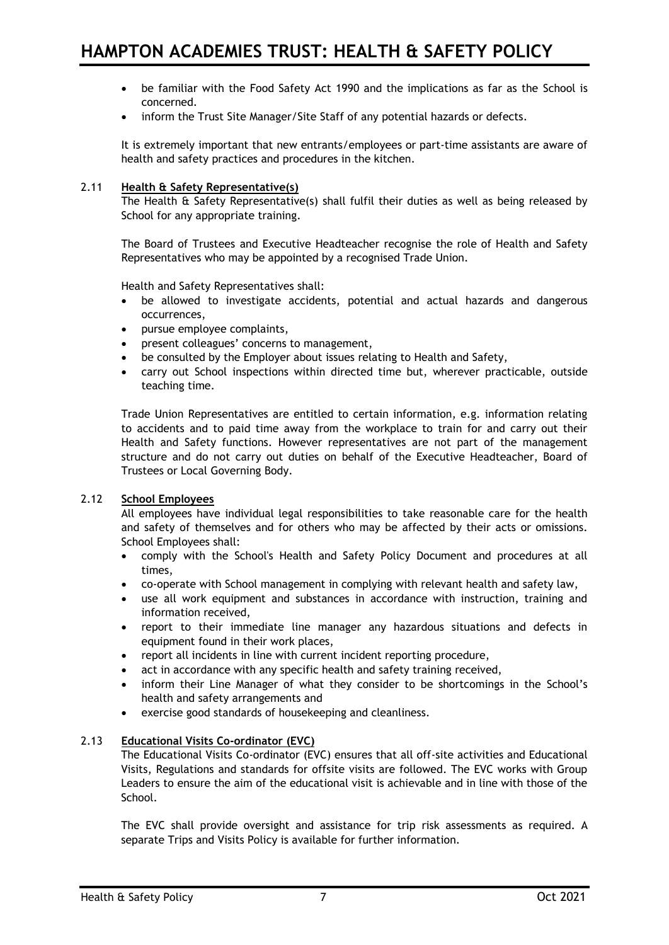- be familiar with the Food Safety Act 1990 and the implications as far as the School is concerned.
- inform the Trust Site Manager/Site Staff of any potential hazards or defects.

It is extremely important that new entrants/employees or part-time assistants are aware of health and safety practices and procedures in the kitchen.

### 2.11 **Health & Safety Representative(s)**

The Health & Safety Representative(s) shall fulfil their duties as well as being released by School for any appropriate training.

The Board of Trustees and Executive Headteacher recognise the role of Health and Safety Representatives who may be appointed by a recognised Trade Union.

Health and Safety Representatives shall:

- be allowed to investigate accidents, potential and actual hazards and dangerous occurrences,
- pursue employee complaints,
- present colleagues' concerns to management,
- be consulted by the Employer about issues relating to Health and Safety,
- carry out School inspections within directed time but, wherever practicable, outside teaching time.

Trade Union Representatives are entitled to certain information, e.g. information relating to accidents and to paid time away from the workplace to train for and carry out their Health and Safety functions. However representatives are not part of the management structure and do not carry out duties on behalf of the Executive Headteacher, Board of Trustees or Local Governing Body.

#### 2.12 **School Employees**

All employees have individual legal responsibilities to take reasonable care for the health and safety of themselves and for others who may be affected by their acts or omissions. School Employees shall:

- comply with the School's Health and Safety Policy Document and procedures at all times,
- co-operate with School management in complying with relevant health and safety law,
- use all work equipment and substances in accordance with instruction, training and information received,
- report to their immediate line manager any hazardous situations and defects in equipment found in their work places,
- report all incidents in line with current incident reporting procedure,
- act in accordance with any specific health and safety training received,
- inform their Line Manager of what they consider to be shortcomings in the School's health and safety arrangements and
- exercise good standards of housekeeping and cleanliness.

#### 2.13 **Educational Visits Co-ordinator (EVC)**

The Educational Visits Co-ordinator (EVC) ensures that all off-site activities and Educational Visits, Regulations and standards for offsite visits are followed. The EVC works with Group Leaders to ensure the aim of the educational visit is achievable and in line with those of the School.

The EVC shall provide oversight and assistance for trip risk assessments as required. A separate Trips and Visits Policy is available for further information.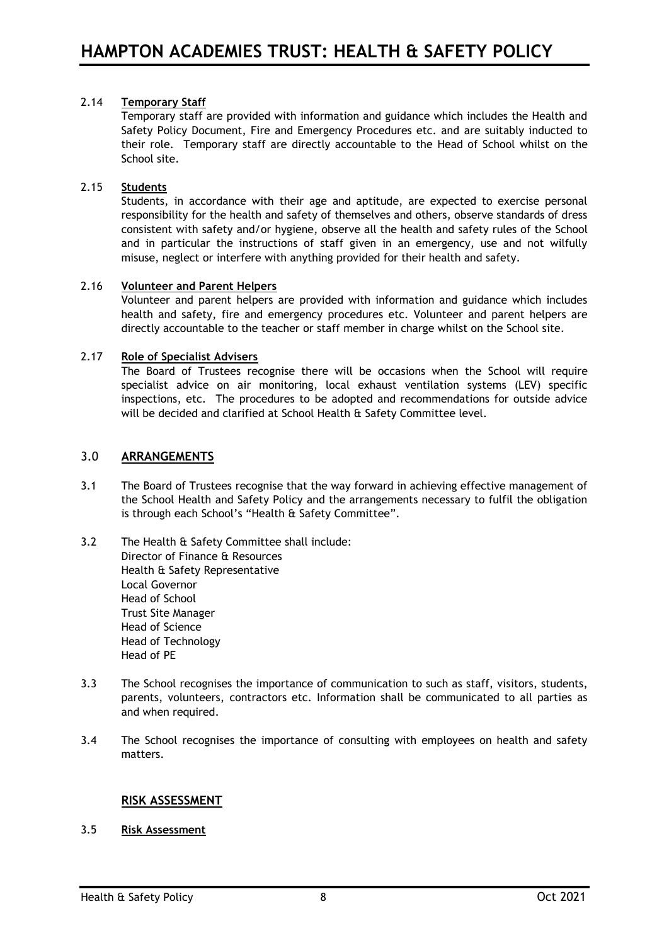# 2.14 **Temporary Staff**

Temporary staff are provided with information and guidance which includes the Health and Safety Policy Document, Fire and Emergency Procedures etc. and are suitably inducted to their role. Temporary staff are directly accountable to the Head of School whilst on the School site.

### 2.15 **Students**

Students, in accordance with their age and aptitude, are expected to exercise personal responsibility for the health and safety of themselves and others, observe standards of dress consistent with safety and/or hygiene, observe all the health and safety rules of the School and in particular the instructions of staff given in an emergency, use and not wilfully misuse, neglect or interfere with anything provided for their health and safety.

## 2.16 **Volunteer and Parent Helpers**

Volunteer and parent helpers are provided with information and guidance which includes health and safety, fire and emergency procedures etc. Volunteer and parent helpers are directly accountable to the teacher or staff member in charge whilst on the School site.

## 2.17 **Role of Specialist Advisers**

The Board of Trustees recognise there will be occasions when the School will require specialist advice on air monitoring, local exhaust ventilation systems (LEV) specific inspections, etc. The procedures to be adopted and recommendations for outside advice will be decided and clarified at School Health & Safety Committee level.

# 3.0 **ARRANGEMENTS**

- 3.1 The Board of Trustees recognise that the way forward in achieving effective management of the School Health and Safety Policy and the arrangements necessary to fulfil the obligation is through each School's "Health & Safety Committee".
- 3.2 The Health & Safety Committee shall include: Director of Finance & Resources Health & Safety Representative Local Governor Head of School Trust Site Manager Head of Science Head of Technology Head of PE
- 3.3 The School recognises the importance of communication to such as staff, visitors, students, parents, volunteers, contractors etc. Information shall be communicated to all parties as and when required.
- 3.4 The School recognises the importance of consulting with employees on health and safety matters.

# **RISK ASSESSMENT**

## 3.5 **Risk Assessment**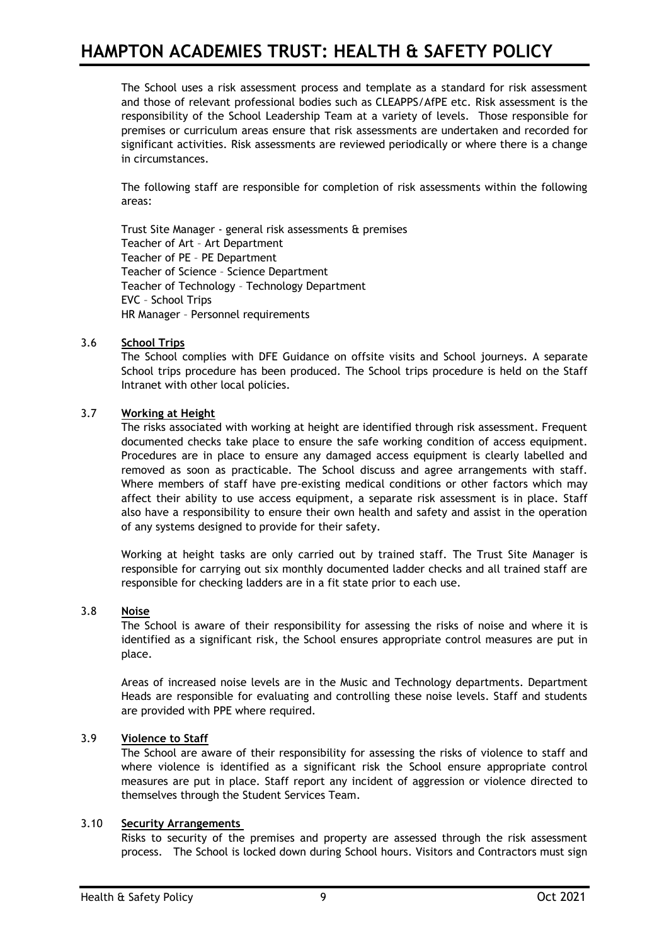The School uses a risk assessment process and template as a standard for risk assessment and those of relevant professional bodies such as CLEAPPS/AfPE etc. Risk assessment is the responsibility of the School Leadership Team at a variety of levels. Those responsible for premises or curriculum areas ensure that risk assessments are undertaken and recorded for significant activities. Risk assessments are reviewed periodically or where there is a change in circumstances.

The following staff are responsible for completion of risk assessments within the following areas:

Trust Site Manager - general risk assessments & premises Teacher of Art – Art Department Teacher of PE – PE Department Teacher of Science – Science Department Teacher of Technology – Technology Department EVC – School Trips HR Manager – Personnel requirements

## 3.6 **School Trips**

The School complies with DFE Guidance on offsite visits and School journeys. A separate School trips procedure has been produced. The School trips procedure is held on the Staff Intranet with other local policies.

## 3.7 **Working at Height**

The risks associated with working at height are identified through risk assessment. Frequent documented checks take place to ensure the safe working condition of access equipment. Procedures are in place to ensure any damaged access equipment is clearly labelled and removed as soon as practicable. The School discuss and agree arrangements with staff. Where members of staff have pre-existing medical conditions or other factors which may affect their ability to use access equipment, a separate risk assessment is in place. Staff also have a responsibility to ensure their own health and safety and assist in the operation of any systems designed to provide for their safety.

Working at height tasks are only carried out by trained staff. The Trust Site Manager is responsible for carrying out six monthly documented ladder checks and all trained staff are responsible for checking ladders are in a fit state prior to each use.

### 3.8 **Noise**

The School is aware of their responsibility for assessing the risks of noise and where it is identified as a significant risk, the School ensures appropriate control measures are put in place.

Areas of increased noise levels are in the Music and Technology departments. Department Heads are responsible for evaluating and controlling these noise levels. Staff and students are provided with PPE where required.

### 3.9 **Violence to Staff**

The School are aware of their responsibility for assessing the risks of violence to staff and where violence is identified as a significant risk the School ensure appropriate control measures are put in place. Staff report any incident of aggression or violence directed to themselves through the Student Services Team.

### 3.10 **Security Arrangements**

Risks to security of the premises and property are assessed through the risk assessment process. The School is locked down during School hours. Visitors and Contractors must sign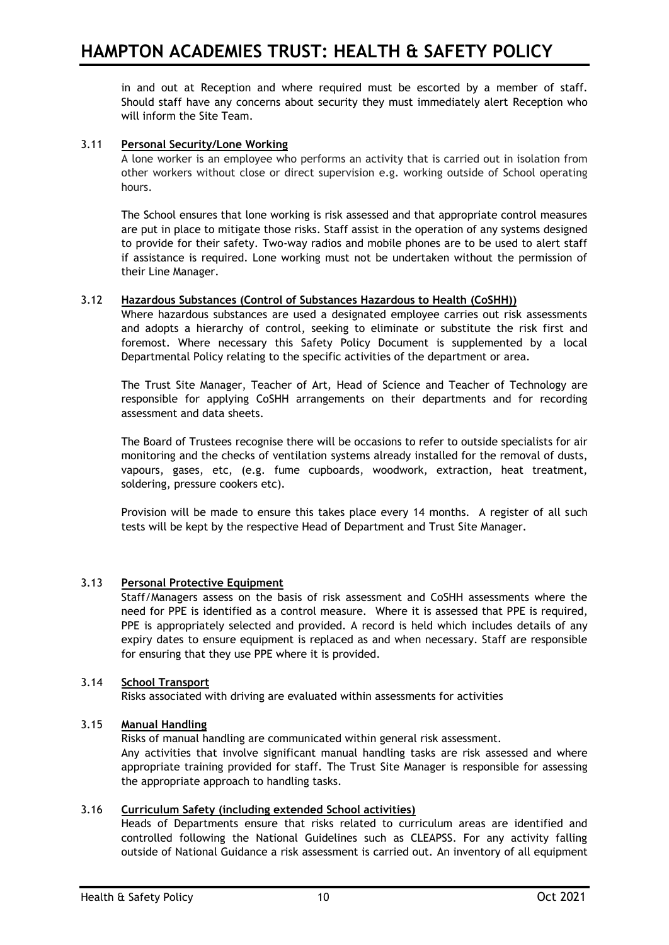in and out at Reception and where required must be escorted by a member of staff. Should staff have any concerns about security they must immediately alert Reception who will inform the Site Team.

# 3.11 **Personal Security/Lone Working**

A lone worker is an employee who performs an activity that is carried out in isolation from other workers without close or direct supervision e.g. working outside of School operating hours.

The School ensures that lone working is risk assessed and that appropriate control measures are put in place to mitigate those risks. Staff assist in the operation of any systems designed to provide for their safety. Two-way radios and mobile phones are to be used to alert staff if assistance is required. Lone working must not be undertaken without the permission of their Line Manager.

## 3.12 **Hazardous Substances (Control of Substances Hazardous to Health (CoSHH))**

Where hazardous substances are used a designated employee carries out risk assessments and adopts a hierarchy of control, seeking to eliminate or substitute the risk first and foremost. Where necessary this Safety Policy Document is supplemented by a local Departmental Policy relating to the specific activities of the department or area.

The Trust Site Manager, Teacher of Art, Head of Science and Teacher of Technology are responsible for applying CoSHH arrangements on their departments and for recording assessment and data sheets.

The Board of Trustees recognise there will be occasions to refer to outside specialists for air monitoring and the checks of ventilation systems already installed for the removal of dusts, vapours, gases, etc, (e.g. fume cupboards, woodwork, extraction, heat treatment, soldering, pressure cookers etc).

Provision will be made to ensure this takes place every 14 months. A register of all such tests will be kept by the respective Head of Department and Trust Site Manager.

#### 3.13 **Personal Protective Equipment**

Staff/Managers assess on the basis of risk assessment and CoSHH assessments where the need for PPE is identified as a control measure. Where it is assessed that PPE is required, PPE is appropriately selected and provided. A record is held which includes details of any expiry dates to ensure equipment is replaced as and when necessary. Staff are responsible for ensuring that they use PPE where it is provided.

### 3.14 **School Transport**

Risks associated with driving are evaluated within assessments for activities

#### 3.15 **Manual Handling**

Risks of manual handling are communicated within general risk assessment.

Any activities that involve significant manual handling tasks are risk assessed and where appropriate training provided for staff. The Trust Site Manager is responsible for assessing the appropriate approach to handling tasks.

#### 3.16 **Curriculum Safety (including extended School activities)**

Heads of Departments ensure that risks related to curriculum areas are identified and controlled following the National Guidelines such as CLEAPSS. For any activity falling outside of National Guidance a risk assessment is carried out. An inventory of all equipment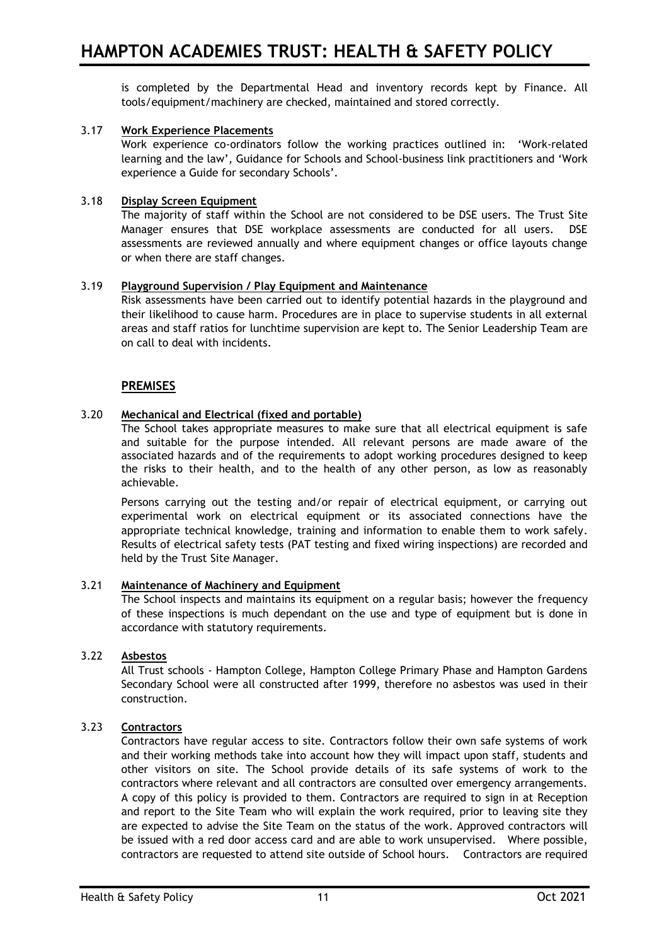is completed by the Departmental Head and inventory records kept by Finance. All tools/equipment/machinery are checked, maintained and stored correctly.

## 3.17 **Work Experience Placements**

Work experience co-ordinators follow the working practices outlined in: 'Work-related learning and the law', Guidance for Schools and School-business link practitioners and 'Work experience a Guide for secondary Schools'.

## 3.18 **Display Screen Equipment**

The majority of staff within the School are not considered to be DSE users. The Trust Site Manager ensures that DSE workplace assessments are conducted for all users. DSE assessments are reviewed annually and where equipment changes or office layouts change or when there are staff changes.

## 3.19 **Playground Supervision / Play Equipment and Maintenance**

Risk assessments have been carried out to identify potential hazards in the playground and their likelihood to cause harm. Procedures are in place to supervise students in all external areas and staff ratios for lunchtime supervision are kept to. The Senior Leadership Team are on call to deal with incidents.

# **PREMISES**

## 3.20 **Mechanical and Electrical (fixed and portable)**

The School takes appropriate measures to make sure that all electrical equipment is safe and suitable for the purpose intended. All relevant persons are made aware of the associated hazards and of the requirements to adopt working procedures designed to keep the risks to their health, and to the health of any other person, as low as reasonably achievable.

Persons carrying out the testing and/or repair of electrical equipment, or carrying out experimental work on electrical equipment or its associated connections have the appropriate technical knowledge, training and information to enable them to work safely. Results of electrical safety tests (PAT testing and fixed wiring inspections) are recorded and held by the Trust Site Manager.

## 3.21 **Maintenance of Machinery and Equipment**

The School inspects and maintains its equipment on a regular basis; however the frequency of these inspections is much dependant on the use and type of equipment but is done in accordance with statutory requirements.

#### 3.22 **Asbestos**

All Trust schools - Hampton College, Hampton College Primary Phase and Hampton Gardens Secondary School were all constructed after 1999, therefore no asbestos was used in their construction.

#### 3.23 **Contractors**

Contractors have regular access to site. Contractors follow their own safe systems of work and their working methods take into account how they will impact upon staff, students and other visitors on site. The School provide details of its safe systems of work to the contractors where relevant and all contractors are consulted over emergency arrangements. A copy of this policy is provided to them. Contractors are required to sign in at Reception and report to the Site Team who will explain the work required, prior to leaving site they are expected to advise the Site Team on the status of the work. Approved contractors will be issued with a red door access card and are able to work unsupervised. Where possible, contractors are requested to attend site outside of School hours. Contractors are required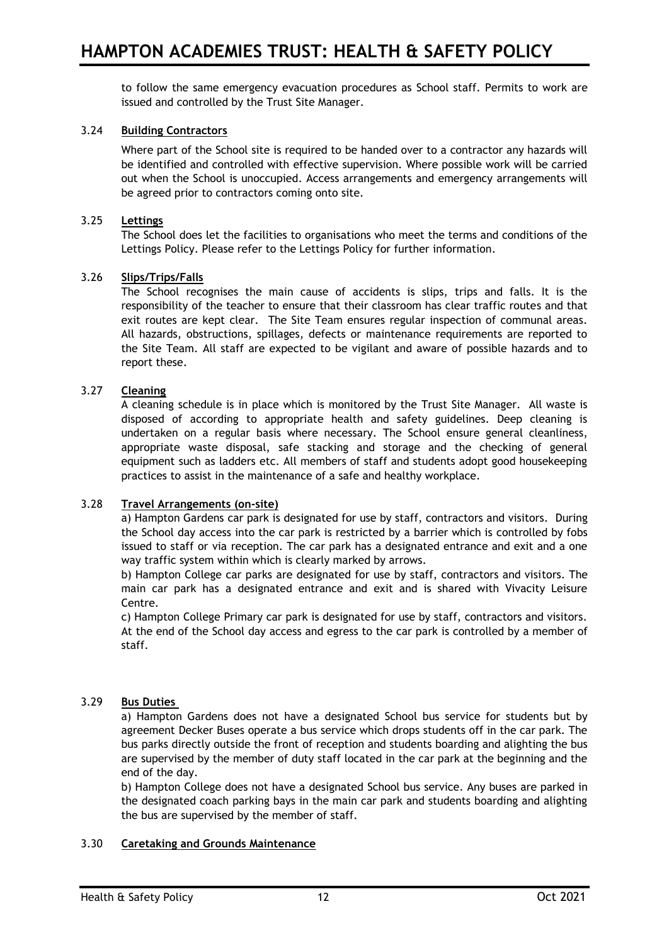to follow the same emergency evacuation procedures as School staff. Permits to work are issued and controlled by the Trust Site Manager.

# 3.24 **Building Contractors**

Where part of the School site is required to be handed over to a contractor any hazards will be identified and controlled with effective supervision. Where possible work will be carried out when the School is unoccupied. Access arrangements and emergency arrangements will be agreed prior to contractors coming onto site.

## 3.25 **Lettings**

The School does let the facilities to organisations who meet the terms and conditions of the Lettings Policy. Please refer to the Lettings Policy for further information.

#### 3.26 **Slips/Trips/Falls**

The School recognises the main cause of accidents is slips, trips and falls. It is the responsibility of the teacher to ensure that their classroom has clear traffic routes and that exit routes are kept clear. The Site Team ensures regular inspection of communal areas. All hazards, obstructions, spillages, defects or maintenance requirements are reported to the Site Team. All staff are expected to be vigilant and aware of possible hazards and to report these.

## 3.27 **Cleaning**

A cleaning schedule is in place which is monitored by the Trust Site Manager. All waste is disposed of according to appropriate health and safety guidelines. Deep cleaning is undertaken on a regular basis where necessary. The School ensure general cleanliness, appropriate waste disposal, safe stacking and storage and the checking of general equipment such as ladders etc. All members of staff and students adopt good housekeeping practices to assist in the maintenance of a safe and healthy workplace.

#### 3.28 **Travel Arrangements (on-site)**

a) Hampton Gardens car park is designated for use by staff, contractors and visitors. During the School day access into the car park is restricted by a barrier which is controlled by fobs issued to staff or via reception. The car park has a designated entrance and exit and a one way traffic system within which is clearly marked by arrows.

b) Hampton College car parks are designated for use by staff, contractors and visitors. The main car park has a designated entrance and exit and is shared with Vivacity Leisure Centre.

c) Hampton College Primary car park is designated for use by staff, contractors and visitors. At the end of the School day access and egress to the car park is controlled by a member of staff.

#### 3.29 **Bus Duties**

a) Hampton Gardens does not have a designated School bus service for students but by agreement Decker Buses operate a bus service which drops students off in the car park. The bus parks directly outside the front of reception and students boarding and alighting the bus are supervised by the member of duty staff located in the car park at the beginning and the end of the day.

b) Hampton College does not have a designated School bus service. Any buses are parked in the designated coach parking bays in the main car park and students boarding and alighting the bus are supervised by the member of staff.

## 3.30 **Caretaking and Grounds Maintenance**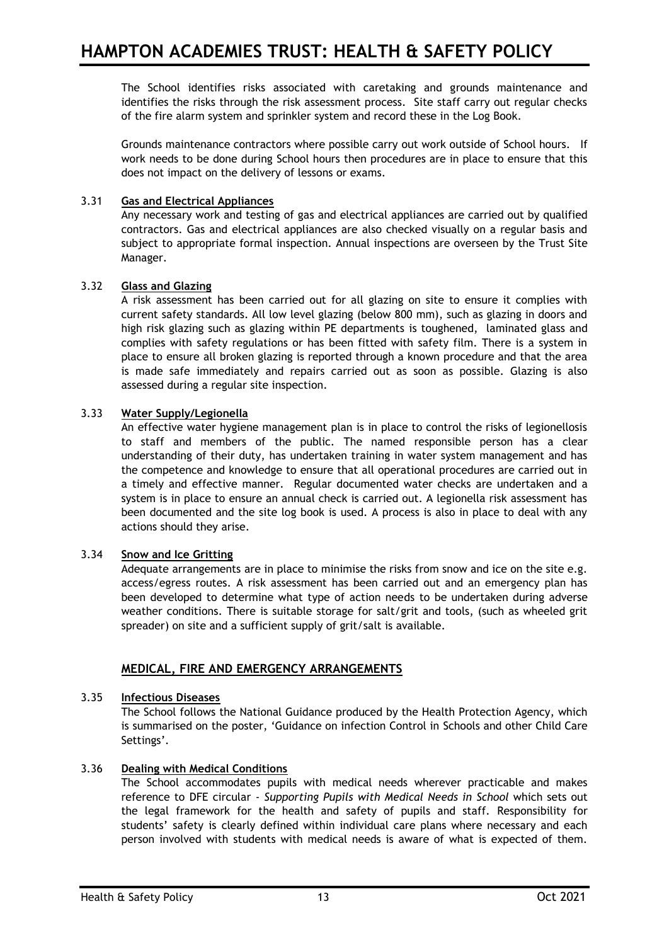The School identifies risks associated with caretaking and grounds maintenance and identifies the risks through the risk assessment process. Site staff carry out regular checks of the fire alarm system and sprinkler system and record these in the Log Book.

Grounds maintenance contractors where possible carry out work outside of School hours. If work needs to be done during School hours then procedures are in place to ensure that this does not impact on the delivery of lessons or exams.

# 3.31 **Gas and Electrical Appliances**

Any necessary work and testing of gas and electrical appliances are carried out by qualified contractors. Gas and electrical appliances are also checked visually on a regular basis and subject to appropriate formal inspection. Annual inspections are overseen by the Trust Site Manager.

# 3.32 **Glass and Glazing**

A risk assessment has been carried out for all glazing on site to ensure it complies with current safety standards. All low level glazing (below 800 mm), such as glazing in doors and high risk glazing such as glazing within PE departments is toughened, laminated glass and complies with safety regulations or has been fitted with safety film. There is a system in place to ensure all broken glazing is reported through a known procedure and that the area is made safe immediately and repairs carried out as soon as possible. Glazing is also assessed during a regular site inspection.

# 3.33 **Water Supply/Legionella**

An effective water hygiene management plan is in place to control the risks of legionellosis to staff and members of the public. The named responsible person has a clear understanding of their duty, has undertaken training in water system management and has the competence and knowledge to ensure that all operational procedures are carried out in a timely and effective manner. Regular documented water checks are undertaken and a system is in place to ensure an annual check is carried out. A legionella risk assessment has been documented and the site log book is used. A process is also in place to deal with any actions should they arise.

# 3.34 **Snow and Ice Gritting**

Adequate arrangements are in place to minimise the risks from snow and ice on the site e.g. access/egress routes. A risk assessment has been carried out and an emergency plan has been developed to determine what type of action needs to be undertaken during adverse weather conditions. There is suitable storage for salt/grit and tools, (such as wheeled grit spreader) on site and a sufficient supply of grit/salt is available.

# **MEDICAL, FIRE AND EMERGENCY ARRANGEMENTS**

# 3.35 **Infectious Diseases**

The School follows the National Guidance produced by the Health Protection Agency, which is summarised on the poster, 'Guidance on infection Control in Schools and other Child Care Settings'.

# 3.36 **Dealing with Medical Conditions**

The School accommodates pupils with medical needs wherever practicable and makes reference to DFE circular - *Supporting Pupils with Medical Needs in School* which sets out the legal framework for the health and safety of pupils and staff. Responsibility for students' safety is clearly defined within individual care plans where necessary and each person involved with students with medical needs is aware of what is expected of them.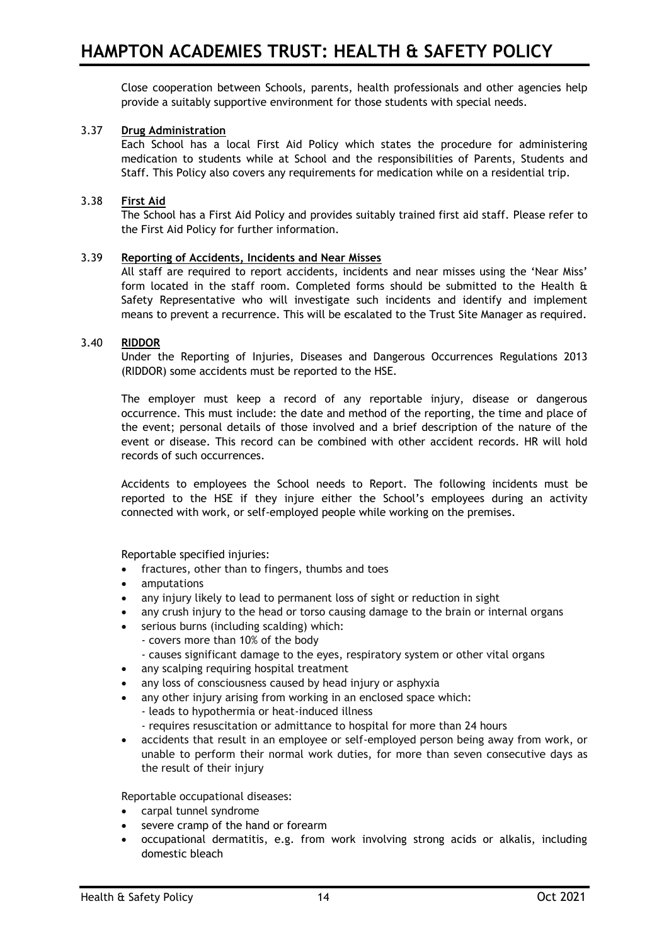Close cooperation between Schools, parents, health professionals and other agencies help provide a suitably supportive environment for those students with special needs.

## 3.37 **Drug Administration**

Each School has a local First Aid Policy which states the procedure for administering medication to students while at School and the responsibilities of Parents, Students and Staff. This Policy also covers any requirements for medication while on a residential trip.

### 3.38 **First Aid**

The School has a First Aid Policy and provides suitably trained first aid staff. Please refer to the First Aid Policy for further information.

#### 3.39 **Reporting of Accidents, Incidents and Near Misses**

All staff are required to report accidents, incidents and near misses using the 'Near Miss' form located in the staff room. Completed forms should be submitted to the Health & Safety Representative who will investigate such incidents and identify and implement means to prevent a recurrence. This will be escalated to the Trust Site Manager as required.

#### 3.40 **RIDDOR**

Under the Reporting of Injuries, Diseases and Dangerous Occurrences Regulations 2013 (RIDDOR) some accidents must be reported to the HSE.

The employer must keep a record of any reportable injury, disease or dangerous occurrence. This must include: the date and method of the reporting, the time and place of the event; personal details of those involved and a brief description of the nature of the event or disease. This record can be combined with other accident records. HR will hold records of such occurrences.

Accidents to employees the School needs to Report. The following incidents must be reported to the HSE if they injure either the School's employees during an activity connected with work, or self-employed people while working on the premises.

Reportable specified injuries:

- fractures, other than to fingers, thumbs and toes
- amputations
- any injury likely to lead to permanent loss of sight or reduction in sight
- any crush injury to the head or torso causing damage to the brain or internal organs
- serious burns (including scalding) which:
	- covers more than 10% of the body
	- causes significant damage to the eyes, respiratory system or other vital organs
- any scalping requiring hospital treatment
- any loss of consciousness caused by head injury or asphyxia
- any other injury arising from working in an enclosed space which:
	- leads to hypothermia or heat-induced illness
	- requires resuscitation or admittance to hospital for more than 24 hours
- accidents that result in an employee or self-employed person being away from work, or unable to perform their normal work duties, for more than seven consecutive days as the result of their injury

Reportable occupational diseases:

- carpal tunnel syndrome
- severe cramp of the hand or forearm
- occupational dermatitis, e.g. from work involving strong acids or alkalis, including domestic bleach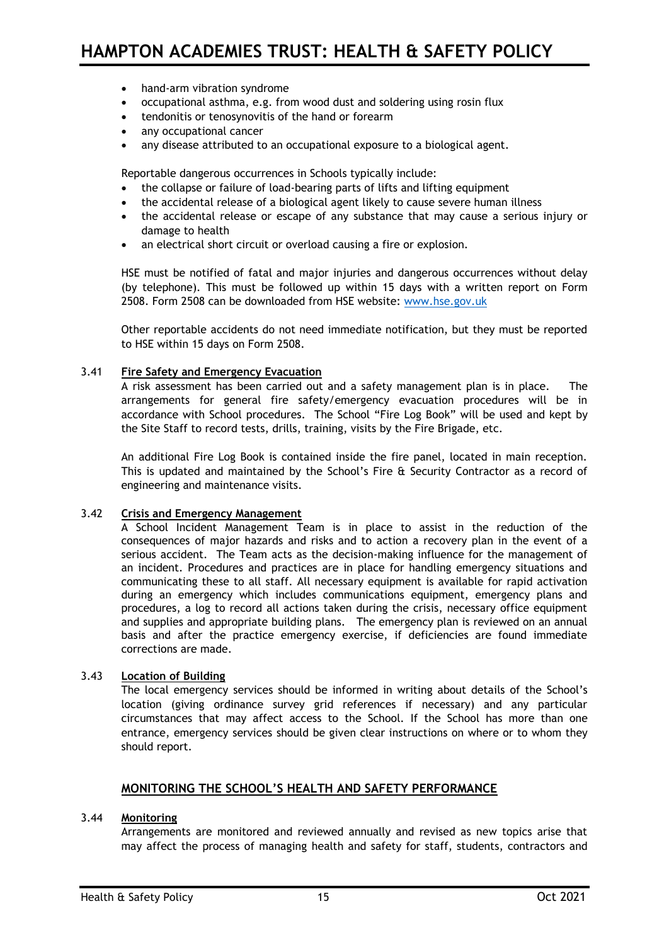- hand-arm vibration syndrome
- occupational asthma, e.g. from wood dust and soldering using rosin flux
- tendonitis or tenosynovitis of the hand or forearm
- any occupational cancer
- any disease attributed to an occupational exposure to a biological agent.

Reportable dangerous occurrences in Schools typically include:

- the collapse or failure of load-bearing parts of lifts and lifting equipment
- the accidental release of a biological agent likely to cause severe human illness
- the accidental release or escape of any substance that may cause a serious injury or damage to health
- an electrical short circuit or overload causing a fire or explosion.

HSE must be notified of fatal and major injuries and dangerous occurrences without delay (by telephone). This must be followed up within 15 days with a written report on Form 2508. Form 2508 can be downloaded from HSE website: [www.hse.gov.uk](http://www.hse.gov.uk/)

Other reportable accidents do not need immediate notification, but they must be reported to HSE within 15 days on Form 2508.

## 3.41 **Fire Safety and Emergency Evacuation**

A risk assessment has been carried out and a safety management plan is in place. The arrangements for general fire safety/emergency evacuation procedures will be in accordance with School procedures. The School "Fire Log Book" will be used and kept by the Site Staff to record tests, drills, training, visits by the Fire Brigade, etc.

An additional Fire Log Book is contained inside the fire panel, located in main reception. This is updated and maintained by the School's Fire & Security Contractor as a record of engineering and maintenance visits.

## 3.42 **Crisis and Emergency Management**

A School Incident Management Team is in place to assist in the reduction of the consequences of major hazards and risks and to action a recovery plan in the event of a serious accident. The Team acts as the decision-making influence for the management of an incident. Procedures and practices are in place for handling emergency situations and communicating these to all staff. All necessary equipment is available for rapid activation during an emergency which includes communications equipment, emergency plans and procedures, a log to record all actions taken during the crisis, necessary office equipment and supplies and appropriate building plans. The emergency plan is reviewed on an annual basis and after the practice emergency exercise, if deficiencies are found immediate corrections are made.

# 3.43 **Location of Building**

The local emergency services should be informed in writing about details of the School's location (giving ordinance survey grid references if necessary) and any particular circumstances that may affect access to the School. If the School has more than one entrance, emergency services should be given clear instructions on where or to whom they should report.

#### **MONITORING THE SCHOOL'S HEALTH AND SAFETY PERFORMANCE**

## 3.44 **Monitoring**

Arrangements are monitored and reviewed annually and revised as new topics arise that may affect the process of managing health and safety for staff, students, contractors and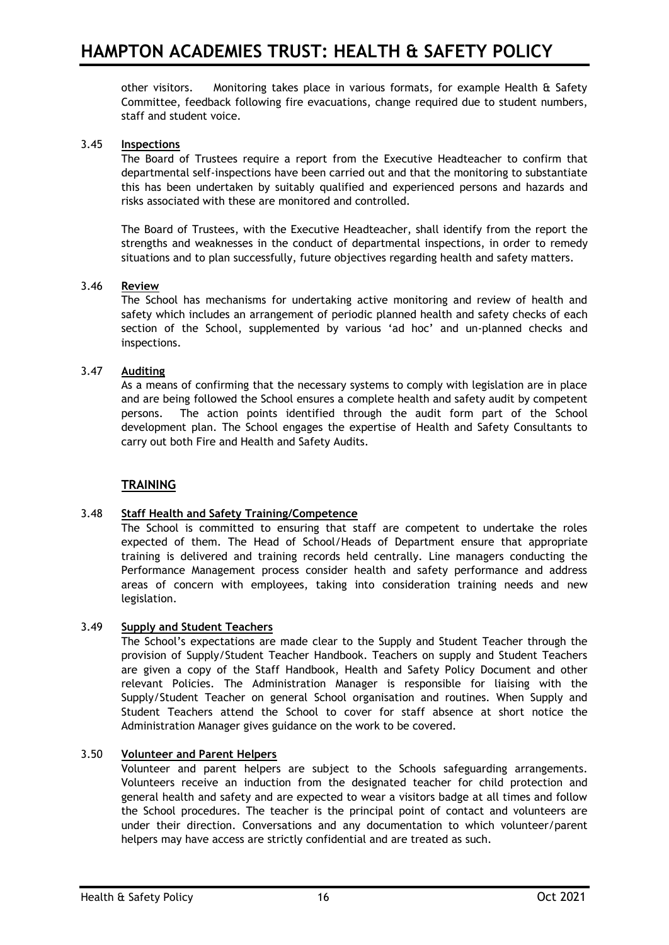other visitors. Monitoring takes place in various formats, for example Health & Safety Committee, feedback following fire evacuations, change required due to student numbers, staff and student voice.

## 3.45 **Inspections**

The Board of Trustees require a report from the Executive Headteacher to confirm that departmental self-inspections have been carried out and that the monitoring to substantiate this has been undertaken by suitably qualified and experienced persons and hazards and risks associated with these are monitored and controlled.

The Board of Trustees, with the Executive Headteacher, shall identify from the report the strengths and weaknesses in the conduct of departmental inspections, in order to remedy situations and to plan successfully, future objectives regarding health and safety matters.

## 3.46 **Review**

The School has mechanisms for undertaking active monitoring and review of health and safety which includes an arrangement of periodic planned health and safety checks of each section of the School, supplemented by various 'ad hoc' and un-planned checks and inspections.

## 3.47 **Auditing**

As a means of confirming that the necessary systems to comply with legislation are in place and are being followed the School ensures a complete health and safety audit by competent persons. The action points identified through the audit form part of the School development plan. The School engages the expertise of Health and Safety Consultants to carry out both Fire and Health and Safety Audits.

# **TRAINING**

# 3.48 **Staff Health and Safety Training/Competence**

The School is committed to ensuring that staff are competent to undertake the roles expected of them. The Head of School/Heads of Department ensure that appropriate training is delivered and training records held centrally. Line managers conducting the Performance Management process consider health and safety performance and address areas of concern with employees, taking into consideration training needs and new legislation.

#### 3.49 **Supply and Student Teachers**

The School's expectations are made clear to the Supply and Student Teacher through the provision of Supply/Student Teacher Handbook. Teachers on supply and Student Teachers are given a copy of the Staff Handbook, Health and Safety Policy Document and other relevant Policies. The Administration Manager is responsible for liaising with the Supply/Student Teacher on general School organisation and routines. When Supply and Student Teachers attend the School to cover for staff absence at short notice the Administration Manager gives guidance on the work to be covered.

# 3.50 **Volunteer and Parent Helpers**

Volunteer and parent helpers are subject to the Schools safeguarding arrangements. Volunteers receive an induction from the designated teacher for child protection and general health and safety and are expected to wear a visitors badge at all times and follow the School procedures. The teacher is the principal point of contact and volunteers are under their direction. Conversations and any documentation to which volunteer/parent helpers may have access are strictly confidential and are treated as such.